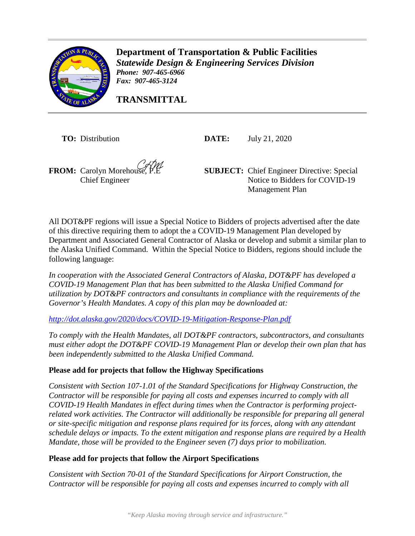

**Department of Transportation & Public Facilities** *Statewide Design & Engineering Services Division Phone: 907-465-6966 Fax: 907-465-3124* 

**TRANSMITTAL**

**TO:** Distribution **DATE:** July 21, 2020

**FROM:** Carolyn Morehouse Chief Engineer

**SUBJECT:** Chief Engineer Directive: Special Notice to Bidders for COVID-19 Management Plan

All DOT&PF regions will issue a Special Notice to Bidders of projects advertised after the date of this directive requiring them to adopt the a COVID-19 Management Plan developed by Department and Associated General Contractor of Alaska or develop and submit a similar plan to the Alaska Unified Command. Within the Special Notice to Bidders, regions should include the following language:

*In cooperation with the Associated General Contractors of Alaska, DOT&PF has developed a COVID-19 Management Plan that has been submitted to the Alaska Unified Command for utilization by DOT&PF contractors and consultants in compliance with the requirements of the Governor's Health Mandates. A copy of this plan may be downloaded at:* 

*<http://dot.alaska.gov/2020/docs/COVID-19-Mitigation-Response-Plan.pdf>*

*To comply with the Health Mandates, all DOT&PF contractors, subcontractors, and consultants must either adopt the DOT&PF COVID-19 Management Plan or develop their own plan that has been independently submitted to the Alaska Unified Command.* 

## **Please add for projects that follow the Highway Specifications**

*Consistent with Section 107-1.01 of the Standard Specifications for Highway Construction, the Contractor will be responsible for paying all costs and expenses incurred to comply with all COVID-19 Health Mandates in effect during times when the Contractor is performing projectrelated work activities. The Contractor will additionally be responsible for preparing all general or site-specific mitigation and response plans required for its forces, along with any attendant schedule delays or impacts. To the extent mitigation and response plans are required by a Health Mandate, those will be provided to the Engineer seven (7) days prior to mobilization.* 

## **Please add for projects that follow the Airport Specifications**

*Consistent with Section 70-01 of the Standard Specifications for Airport Construction, the Contractor will be responsible for paying all costs and expenses incurred to comply with all*